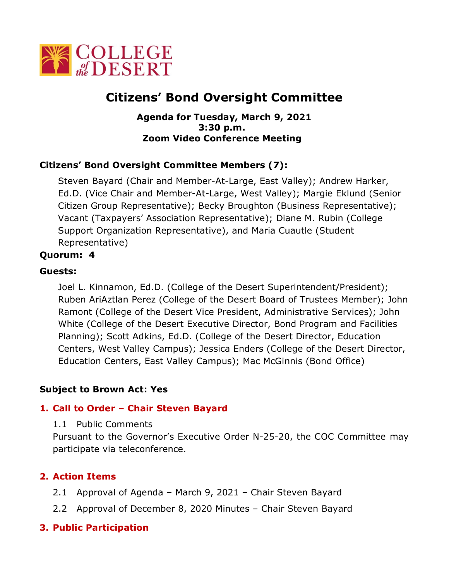

# **Citizens' Bond Oversight Committee**

#### **Agenda for Tuesday, March 9, 2021 3:30 p.m. Zoom Video Conference Meeting**

## **Citizens' Bond Oversight Committee Members (7):**

Steven Bayard (Chair and Member-At-Large, East Valley); Andrew Harker, Ed.D. (Vice Chair and Member-At-Large, West Valley); Margie Eklund (Senior Citizen Group Representative); Becky Broughton (Business Representative); Vacant (Taxpayers' Association Representative); Diane M. Rubin (College Support Organization Representative), and Maria Cuautle (Student Representative)

## **Quorum: 4**

#### **Guests:**

Joel L. Kinnamon, Ed.D. (College of the Desert Superintendent/President); Ruben AriAztlan Perez (College of the Desert Board of Trustees Member); John Ramont (College of the Desert Vice President, Administrative Services); John White (College of the Desert Executive Director, Bond Program and Facilities Planning); Scott Adkins, Ed.D. (College of the Desert Director, Education Centers, West Valley Campus); Jessica Enders (College of the Desert Director, Education Centers, East Valley Campus); Mac McGinnis (Bond Office)

#### **Subject to Brown Act: Yes**

## **1. Call to Order – Chair Steven Bayard**

1.1 Public Comments

Pursuant to the Governor's Executive Order N-25-20, the COC Committee may participate via teleconference.

## **2. Action Items**

- 2.1 Approval of Agenda March 9, 2021 Chair Steven Bayard
- 2.2 Approval of December 8, 2020 Minutes Chair Steven Bayard

## **3. Public Participation**